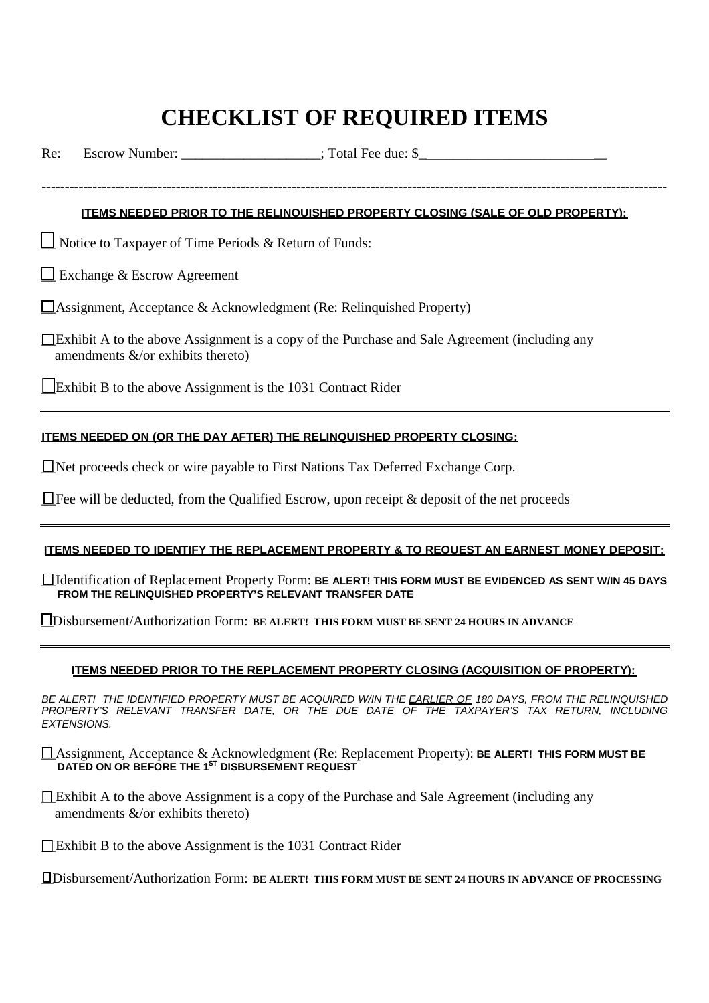# **CHECKLIST OF REQUIRED ITEMS**

Re: Escrow Number:  $\qquad \qquad$  : Total Fee due: \$

#### **ITEMS NEEDED PRIOR TO THE RELINQUISHED PROPERTY CLOSING (SALE OF OLD PROPERTY):**

---------------------------------------------------------------------------------------------------------------------------------------

 $\Box$  Notice to Taxpayer of Time Periods & Return of Funds:

 $\Box$  Exchange & Escrow Agreement

 $\Box$ Assignment, Acceptance & Acknowledgment (Re: Relinquished Property)

 $\Box$ Exhibit A to the above Assignment is a copy of the Purchase and Sale Agreement (including any amendments &/or exhibits thereto)

\_\_Exhibit B to the above Assignment is the 1031 Contract Rider

#### **ITEMS NEEDED ON (OR THE DAY AFTER) THE RELINQUISHED PROPERTY CLOSING:**

\_\_Net proceeds check or wire payable to First Nations Tax Deferred Exchange Corp.

 $\Box$  Fee will be deducted, from the Qualified Escrow, upon receipt & deposit of the net proceeds

#### **ITEMS NEEDED TO IDENTIFY THE REPLACEMENT PROPERTY & TO REQUEST AN EARNEST MONEY DEPOSIT:**

\_\_Identification of Replacement Property Form: **BE ALERT! THIS FORM MUST BE EVIDENCED AS SENT W/IN 45 DAYS FROM THE RELINQUISHED PROPERTY'S RELEVANT TRANSFER DATE**

**\_\_**Disbursement/Authorization Form: **BE ALERT! THIS FORM MUST BE SENT 24 HOURS IN ADVANCE**

#### **ITEMS NEEDED PRIOR TO THE REPLACEMENT PROPERTY CLOSING (ACQUISITION OF PROPERTY):**

*BE ALERT! THE IDENTIFIED PROPERTY MUST BE ACQUIRED W/IN THE EARLIER OF 180 DAYS, FROM THE RELINQUISHED PROPERTY'S RELEVANT TRANSFER DATE, OR THE DUE DATE OF THE TAXPAYER'S TAX RETURN, INCLUDING EXTENSIONS.*

\_\_Assignment, Acceptance & Acknowledgment (Re: Replacement Property): **BE ALERT! THIS FORM MUST BE DATED ON OR BEFORE THE 1ST DISBURSEMENT REQUEST**

 $\Box$  Exhibit A to the above Assignment is a copy of the Purchase and Sale Agreement (including any amendments &/or exhibits thereto)

 $\Box$  Exhibit B to the above Assignment is the 1031 Contract Rider

**\_\_**Disbursement/Authorization Form: **BE ALERT! THIS FORM MUST BE SENT 24 HOURS IN ADVANCE OF PROCESSING**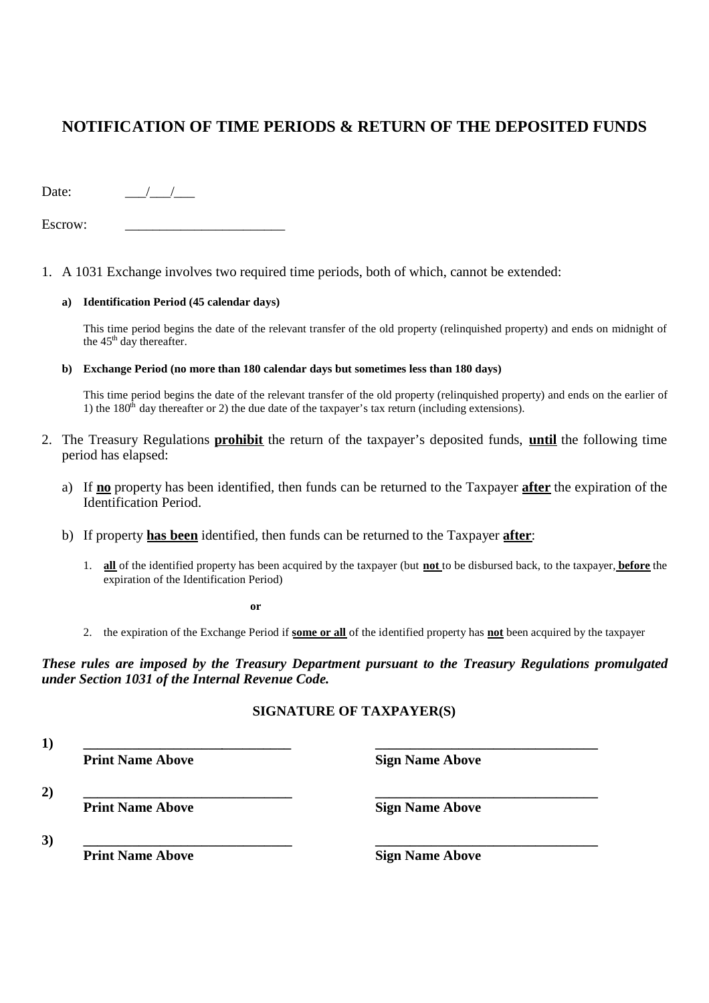## **NOTIFICATION OF TIME PERIODS & RETURN OF THE DEPOSITED FUNDS**

Date:  $\frac{1}{\sqrt{1-\frac{1}{2}}}$ 

Escrow:

1. A 1031 Exchange involves two required time periods, both of which, cannot be extended:

#### **a) Identification Period (45 calendar days)**

This time period begins the date of the relevant transfer of the old property (relinquished property) and ends on midnight of the  $45<sup>th</sup>$  day thereafter.

**b) Exchange Period (no more than 180 calendar days but sometimes less than 180 days)**

This time period begins the date of the relevant transfer of the old property (relinquished property) and ends on the earlier of 1) the  $180<sup>th</sup>$  day thereafter or 2) the due date of the taxpayer's tax return (including extensions).

- 2. The Treasury Regulations **prohibit** the return of the taxpayer's deposited funds, **until** the following time period has elapsed:
	- a) If **no** property has been identified, then funds can be returned to the Taxpayer **after** the expiration of the Identification Period.
	- b) If property **has been** identified, then funds can be returned to the Taxpayer **after**:
		- 1. **all** of the identified property has been acquired by the taxpayer (but **not** to be disbursed back, to the taxpayer, **before** the expiration of the Identification Period)

**or**

2. the expiration of the Exchange Period if **some or all** of the identified property has **not** been acquired by the taxpayer

*These rules are imposed by the Treasury Department pursuant to the Treasury Regulations promulgated under Section 1031 of the Internal Revenue Code.*

## **SIGNATURE OF TAXPAYER(S)**

**1) \_\_\_\_\_\_\_\_\_\_\_\_\_\_\_\_\_\_\_\_\_\_\_\_\_\_\_\_\_\_ \_\_\_\_\_\_\_\_\_\_\_\_\_\_\_\_\_\_\_\_\_\_\_\_\_\_\_\_\_\_\_\_**

**Print Name Above Sign Name Above** 

**2) \_\_\_\_\_\_\_\_\_\_\_\_\_\_\_\_\_\_\_\_\_\_\_\_\_\_\_\_\_\_ \_\_\_\_\_\_\_\_\_\_\_\_\_\_\_\_\_\_\_\_\_\_\_\_\_\_\_\_\_\_\_\_ Print Name Above Sign Name Above** 

**3) \_\_\_\_\_\_\_\_\_\_\_\_\_\_\_\_\_\_\_\_\_\_\_\_\_\_\_\_\_\_ \_\_\_\_\_\_\_\_\_\_\_\_\_\_\_\_\_\_\_\_\_\_\_\_\_\_\_\_\_\_\_\_ Print Name Above Sign Name Above**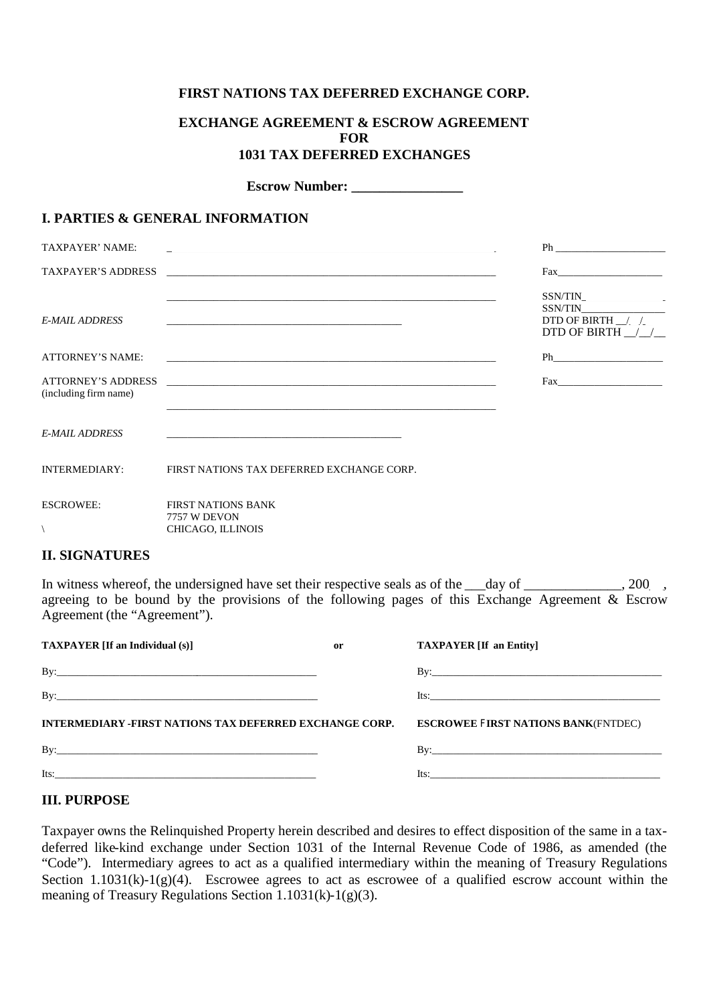## **FIRST NATIONS TAX DEFERRED EXCHANGE CORP.**

## **EXCHANGE AGREEMENT & ESCROW AGREEMENT FOR 1031 TAX DEFERRED EXCHANGES**

**Escrow Number:** 

## **I. PARTIES & GENERAL INFORMATION**

| TAXPAYER' NAME:                                    |                                                                | Ph and the state of the state of the state of the state of the state of the state of the state of the state of the state of the state of the state of the state of the state of the state of the state of the state of the sta                                                                                                                                                                                                                                                                                                                                                                                        |
|----------------------------------------------------|----------------------------------------------------------------|-----------------------------------------------------------------------------------------------------------------------------------------------------------------------------------------------------------------------------------------------------------------------------------------------------------------------------------------------------------------------------------------------------------------------------------------------------------------------------------------------------------------------------------------------------------------------------------------------------------------------|
|                                                    |                                                                |                                                                                                                                                                                                                                                                                                                                                                                                                                                                                                                                                                                                                       |
| <b>E-MAIL ADDRESS</b>                              |                                                                | SSN/TIN<br>DTD OF BIRTH $\angle$<br>DTD OF BIRTH $\frac{1}{2}$                                                                                                                                                                                                                                                                                                                                                                                                                                                                                                                                                        |
| <b>ATTORNEY'S NAME:</b>                            |                                                                |                                                                                                                                                                                                                                                                                                                                                                                                                                                                                                                                                                                                                       |
| <b>ATTORNEY'S ADDRESS</b><br>(including firm name) |                                                                | $\begin{tabular}{ c c c } \hline \quad \quad & \quad \quad & \quad \quad \\ \hline \quad \quad & \quad \quad & \quad \quad \\ \hline \quad \quad & \quad \quad & \quad \quad \\ \hline \quad \quad & \quad \quad & \quad \quad \\ \hline \quad \quad & \quad \quad & \quad \quad \\ \hline \quad \quad & \quad \quad & \quad \quad \\ \hline \quad \quad & \quad \quad & \quad \quad \\ \hline \quad \quad & \quad \quad & \quad \quad \\ \hline \quad \quad & \quad \quad & \quad \quad \\ \hline \quad \quad & \quad \quad & \quad \quad \\ \hline \quad \quad & \quad \quad & \quad \quad \\ \hline \quad \quad &$ |
| <b>E-MAIL ADDRESS</b>                              |                                                                |                                                                                                                                                                                                                                                                                                                                                                                                                                                                                                                                                                                                                       |
| <b>INTERMEDIARY:</b>                               | FIRST NATIONS TAX DEFERRED EXCHANGE CORP.                      |                                                                                                                                                                                                                                                                                                                                                                                                                                                                                                                                                                                                                       |
| <b>ESCROWEE:</b>                                   | <b>FIRST NATIONS BANK</b><br>7757 W DEVON<br>CHICAGO, ILLINOIS |                                                                                                                                                                                                                                                                                                                                                                                                                                                                                                                                                                                                                       |

## **II. SIGNATURES**

In witness whereof, the undersigned have set their respective seals as of the day of \_\_\_\_\_\_\_\_\_, 200\_, agreeing to be bound by the provisions of the following pages of this Exchange Agreement & Escrow Agreement (the "Agreement").

| <b>TAXPAYER</b> [If an Individual (s)]                  | or | <b>TAXPAYER</b> [If an Entity]              |
|---------------------------------------------------------|----|---------------------------------------------|
|                                                         |    |                                             |
| By:                                                     |    | Its: $\frac{1}{2}$                          |
|                                                         |    |                                             |
| INTERMEDIARY -FIRST NATIONS TAX DEFERRED EXCHANGE CORP. |    | <b>ESCROWEE FIRST NATIONS BANK (FNTDEC)</b> |
|                                                         |    |                                             |

## **III. PURPOSE**

Taxpayer owns the Relinquished Property herein described and desires to effect disposition of the same in a taxdeferred like-kind exchange under Section 1031 of the Internal Revenue Code of 1986, as amended (the "Code"). Intermediary agrees to act as a qualified intermediary within the meaning of Treasury Regulations Section 1.1031(k)-1(g)(4). Escrowee agrees to act as escrowee of a qualified escrow account within the meaning of Treasury Regulations Section 1.1031(k)-1(g)(3).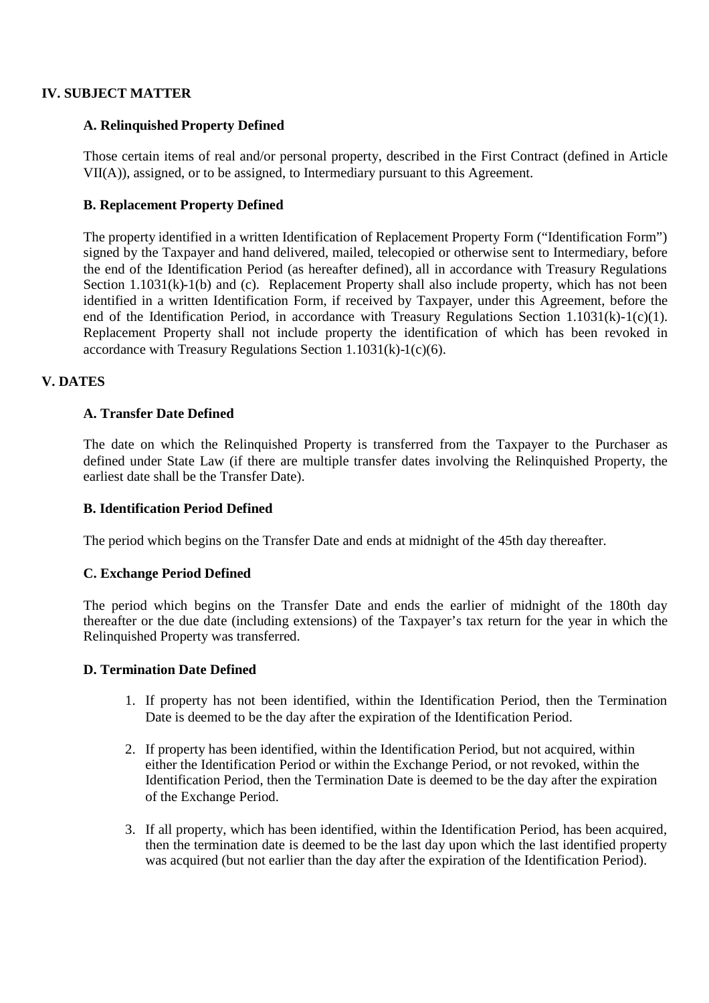## **IV. SUBJECT MATTER**

## **A. Relinquished Property Defined**

Those certain items of real and/or personal property, described in the First Contract (defined in Article VII(A)), assigned, or to be assigned, to Intermediary pursuant to this Agreement.

## **B. Replacement Property Defined**

The property identified in a written Identification of Replacement Property Form ("Identification Form") signed by the Taxpayer and hand delivered, mailed, telecopied or otherwise sent to Intermediary, before the end of the Identification Period (as hereafter defined), all in accordance with Treasury Regulations Section 1.1031(k)-1(b) and (c). Replacement Property shall also include property, which has not been identified in a written Identification Form, if received by Taxpayer, under this Agreement, before the end of the Identification Period, in accordance with Treasury Regulations Section 1.1031(k)-1(c)(1). Replacement Property shall not include property the identification of which has been revoked in accordance with Treasury Regulations Section  $1.1031(k)-1(c)(6)$ .

## **V. DATES**

## **A. Transfer Date Defined**

The date on which the Relinquished Property is transferred from the Taxpayer to the Purchaser as defined under State Law (if there are multiple transfer dates involving the Relinquished Property, the earliest date shall be the Transfer Date).

#### **B. Identification Period Defined**

The period which begins on the Transfer Date and ends at midnight of the 45th day thereafter.

## **C. Exchange Period Defined**

The period which begins on the Transfer Date and ends the earlier of midnight of the 180th day thereafter or the due date (including extensions) of the Taxpayer's tax return for the year in which the Relinquished Property was transferred.

#### **D. Termination Date Defined**

- 1. If property has not been identified, within the Identification Period, then the Termination Date is deemed to be the day after the expiration of the Identification Period.
- 2. If property has been identified, within the Identification Period, but not acquired, within either the Identification Period or within the Exchange Period, or not revoked, within the Identification Period, then the Termination Date is deemed to be the day after the expiration of the Exchange Period.
- 3. If all property, which has been identified, within the Identification Period, has been acquired, then the termination date is deemed to be the last day upon which the last identified property was acquired (but not earlier than the day after the expiration of the Identification Period).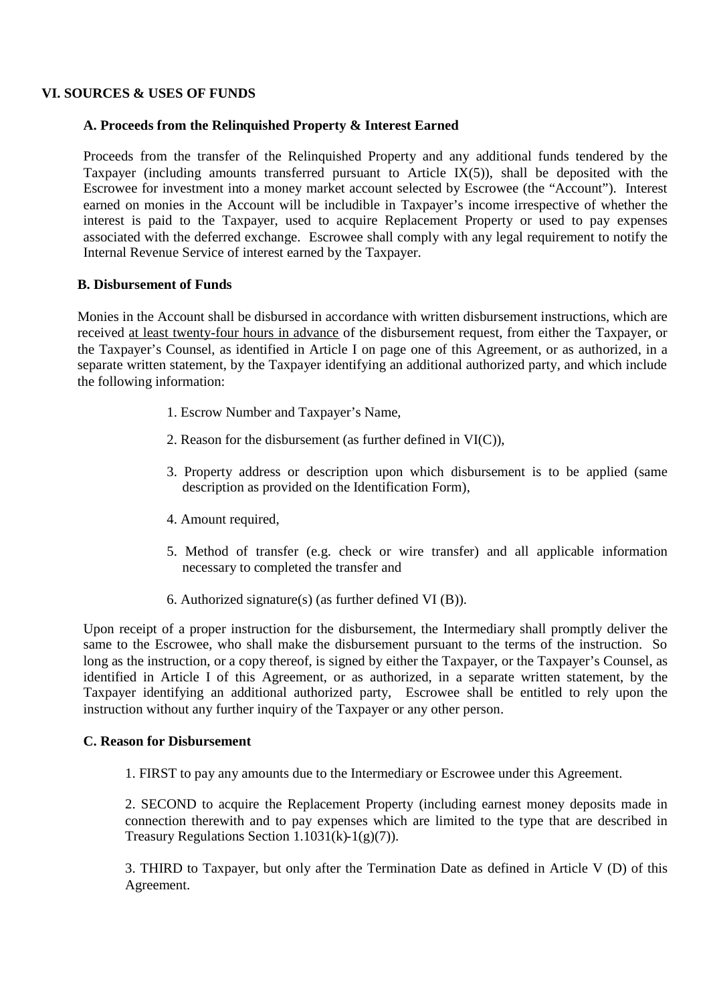## **VI. SOURCES & USES OF FUNDS**

## **A. Proceeds from the Relinquished Property & Interest Earned**

Proceeds from the transfer of the Relinquished Property and any additional funds tendered by the Taxpayer (including amounts transferred pursuant to Article IX(5)), shall be deposited with the Escrowee for investment into a money market account selected by Escrowee (the "Account"). Interest earned on monies in the Account will be includible in Taxpayer's income irrespective of whether the interest is paid to the Taxpayer, used to acquire Replacement Property or used to pay expenses associated with the deferred exchange. Escrowee shall comply with any legal requirement to notify the Internal Revenue Service of interest earned by the Taxpayer.

## **B. Disbursement of Funds**

Monies in the Account shall be disbursed in accordance with written disbursement instructions, which are received at least twenty-four hours in advance of the disbursement request, from either the Taxpayer, or the Taxpayer's Counsel, as identified in Article I on page one of this Agreement, or as authorized, in a separate written statement, by the Taxpayer identifying an additional authorized party, and which include the following information:

- 1. Escrow Number and Taxpayer's Name,
- 2. Reason for the disbursement (as further defined in VI(C)),
- 3. Property address or description upon which disbursement is to be applied (same description as provided on the Identification Form),
- 4. Amount required,
- 5. Method of transfer (e.g. check or wire transfer) and all applicable information necessary to completed the transfer and
- 6. Authorized signature(s) (as further defined VI (B)).

Upon receipt of a proper instruction for the disbursement, the Intermediary shall promptly deliver the same to the Escrowee, who shall make the disbursement pursuant to the terms of the instruction. So long as the instruction, or a copy thereof, is signed by either the Taxpayer, or the Taxpayer's Counsel, as identified in Article I of this Agreement, or as authorized, in a separate written statement, by the Taxpayer identifying an additional authorized party, Escrowee shall be entitled to rely upon the instruction without any further inquiry of the Taxpayer or any other person.

#### **C. Reason for Disbursement**

1. FIRST to pay any amounts due to the Intermediary or Escrowee under this Agreement.

2. SECOND to acquire the Replacement Property (including earnest money deposits made in connection therewith and to pay expenses which are limited to the type that are described in Treasury Regulations Section  $1.1031(k)$ -1(g)(7)).

3. THIRD to Taxpayer, but only after the Termination Date as defined in Article V (D) of this Agreement.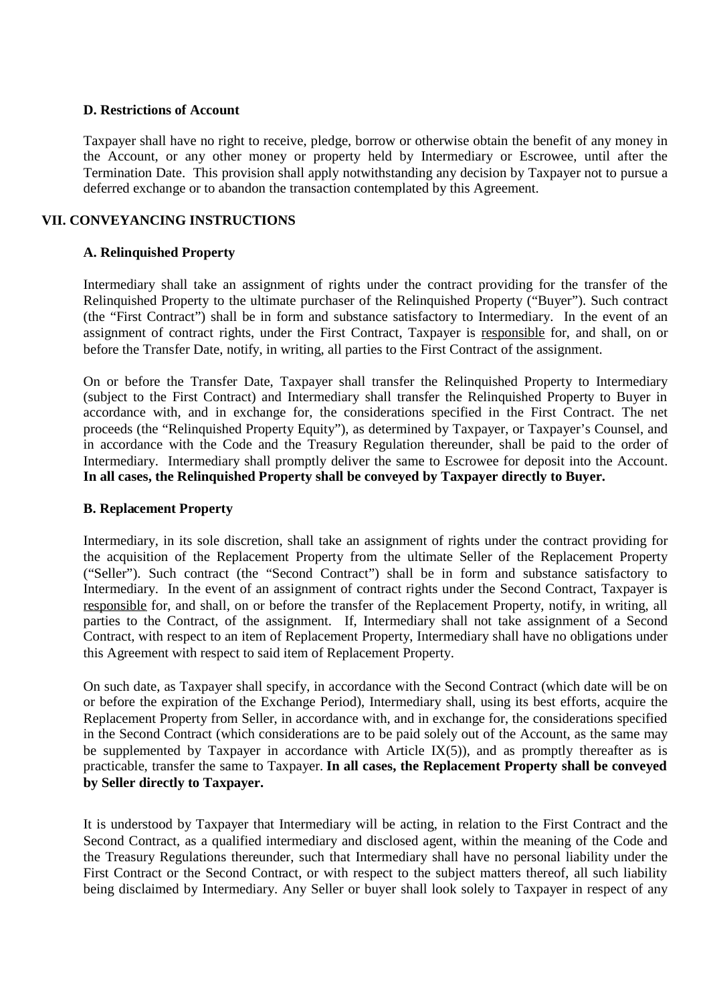## **D. Restrictions of Account**

Taxpayer shall have no right to receive, pledge, borrow or otherwise obtain the benefit of any money in the Account, or any other money or property held by Intermediary or Escrowee, until after the Termination Date. This provision shall apply notwithstanding any decision by Taxpayer not to pursue a deferred exchange or to abandon the transaction contemplated by this Agreement.

## **VII. CONVEYANCING INSTRUCTIONS**

## **A. Relinquished Property**

Intermediary shall take an assignment of rights under the contract providing for the transfer of the Relinquished Property to the ultimate purchaser of the Relinquished Property ("Buyer"). Such contract (the "First Contract") shall be in form and substance satisfactory to Intermediary. In the event of an assignment of contract rights, under the First Contract, Taxpayer is responsible for, and shall, on or before the Transfer Date, notify, in writing, all parties to the First Contract of the assignment.

On or before the Transfer Date, Taxpayer shall transfer the Relinquished Property to Intermediary (subject to the First Contract) and Intermediary shall transfer the Relinquished Property to Buyer in accordance with, and in exchange for, the considerations specified in the First Contract. The net proceeds (the "Relinquished Property Equity"), as determined by Taxpayer, or Taxpayer's Counsel, and in accordance with the Code and the Treasury Regulation thereunder, shall be paid to the order of Intermediary. Intermediary shall promptly deliver the same to Escrowee for deposit into the Account. **In all cases, the Relinquished Property shall be conveyed by Taxpayer directly to Buyer.**

## **B. Replacement Property**

Intermediary, in its sole discretion, shall take an assignment of rights under the contract providing for the acquisition of the Replacement Property from the ultimate Seller of the Replacement Property ("Seller"). Such contract (the "Second Contract") shall be in form and substance satisfactory to Intermediary. In the event of an assignment of contract rights under the Second Contract, Taxpayer is responsible for, and shall, on or before the transfer of the Replacement Property, notify, in writing, all parties to the Contract, of the assignment. If, Intermediary shall not take assignment of a Second Contract, with respect to an item of Replacement Property, Intermediary shall have no obligations under this Agreement with respect to said item of Replacement Property.

On such date, as Taxpayer shall specify, in accordance with the Second Contract (which date will be on or before the expiration of the Exchange Period), Intermediary shall, using its best efforts, acquire the Replacement Property from Seller, in accordance with, and in exchange for, the considerations specified in the Second Contract (which considerations are to be paid solely out of the Account, as the same may be supplemented by Taxpayer in accordance with Article  $IX(5)$ , and as promptly thereafter as is practicable, transfer the same to Taxpayer. **In all cases, the Replacement Property shall be conveyed by Seller directly to Taxpayer.**

It is understood by Taxpayer that Intermediary will be acting, in relation to the First Contract and the Second Contract, as a qualified intermediary and disclosed agent, within the meaning of the Code and the Treasury Regulations thereunder, such that Intermediary shall have no personal liability under the First Contract or the Second Contract, or with respect to the subject matters thereof, all such liability being disclaimed by Intermediary. Any Seller or buyer shall look solely to Taxpayer in respect of any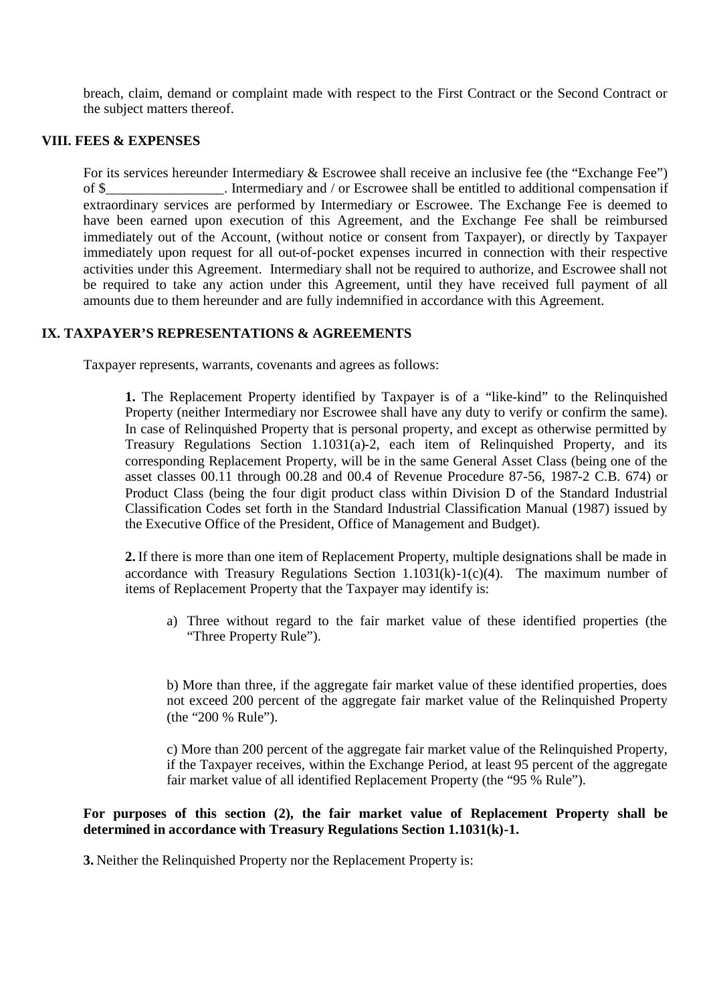breach, claim, demand or complaint made with respect to the First Contract or the Second Contract or the subject matters thereof.

## **VIII. FEES & EXPENSES**

For its services hereunder Intermediary & Escrowee shall receive an inclusive fee (the "Exchange Fee") of \$\_\_\_\_\_\_\_\_\_\_\_\_\_\_\_\_\_. Intermediary and / or Escrowee shall be entitled to additional compensation if extraordinary services are performed by Intermediary or Escrowee. The Exchange Fee is deemed to have been earned upon execution of this Agreement, and the Exchange Fee shall be reimbursed immediately out of the Account, (without notice or consent from Taxpayer), or directly by Taxpayer immediately upon request for all out-of-pocket expenses incurred in connection with their respective activities under this Agreement. Intermediary shall not be required to authorize, and Escrowee shall not be required to take any action under this Agreement, until they have received full payment of all amounts due to them hereunder and are fully indemnified in accordance with this Agreement.

## **IX. TAXPAYER'S REPRESENTATIONS & AGREEMENTS**

Taxpayer represents, warrants, covenants and agrees as follows:

**1.** The Replacement Property identified by Taxpayer is of a "like-kind" to the Relinquished Property (neither Intermediary nor Escrowee shall have any duty to verify or confirm the same). In case of Relinquished Property that is personal property, and except as otherwise permitted by Treasury Regulations Section 1.1031(a)-2, each item of Relinquished Property, and its corresponding Replacement Property, will be in the same General Asset Class (being one of the asset classes 00.11 through 00.28 and 00.4 of Revenue Procedure 87-56, 1987-2 C.B. 674) or Product Class (being the four digit product class within Division D of the Standard Industrial Classification Codes set forth in the Standard Industrial Classification Manual (1987) issued by the Executive Office of the President, Office of Management and Budget).

**2.** If there is more than one item of Replacement Property, multiple designations shall be made in accordance with Treasury Regulations Section  $1.1031(k)-1(c)(4)$ . The maximum number of items of Replacement Property that the Taxpayer may identify is:

a) Three without regard to the fair market value of these identified properties (the "Three Property Rule").

b) More than three, if the aggregate fair market value of these identified properties, does not exceed 200 percent of the aggregate fair market value of the Relinquished Property (the "200 % Rule").

c) More than 200 percent of the aggregate fair market value of the Relinquished Property, if the Taxpayer receives, within the Exchange Period, at least 95 percent of the aggregate fair market value of all identified Replacement Property (the "95 % Rule").

## **For purposes of this section (2), the fair market value of Replacement Property shall be determined in accordance with Treasury Regulations Section 1.1031(k)-1.**

**3.** Neither the Relinquished Property nor the Replacement Property is: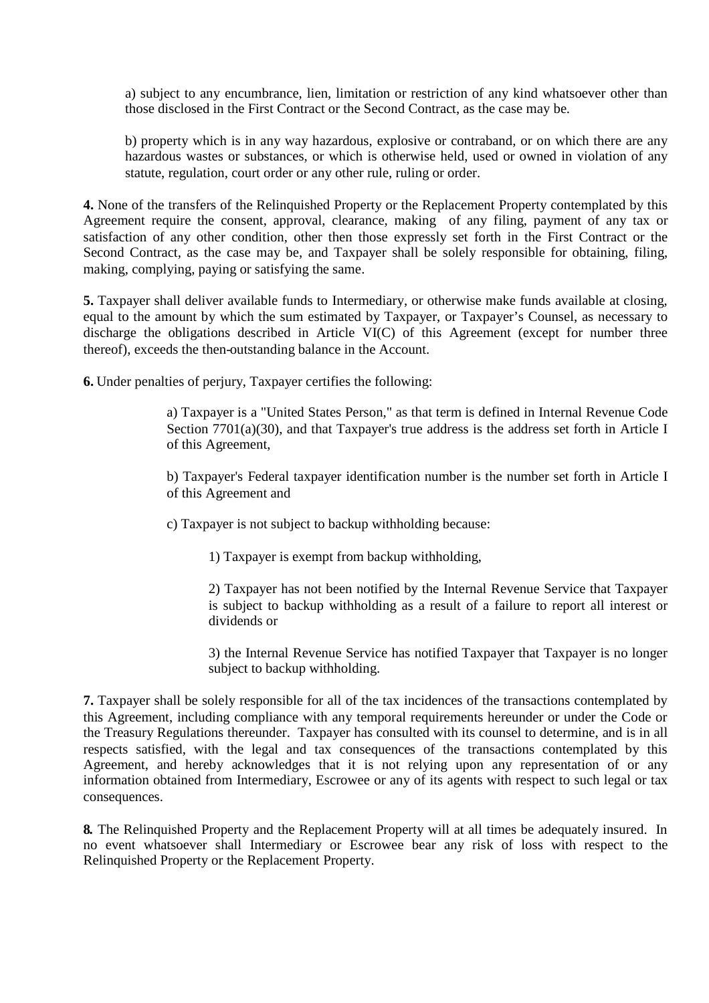a) subject to any encumbrance, lien, limitation or restriction of any kind whatsoever other than those disclosed in the First Contract or the Second Contract, as the case may be.

b) property which is in any way hazardous, explosive or contraband, or on which there are any hazardous wastes or substances, or which is otherwise held, used or owned in violation of any statute, regulation, court order or any other rule, ruling or order.

**4.** None of the transfers of the Relinquished Property or the Replacement Property contemplated by this Agreement require the consent, approval, clearance, making of any filing, payment of any tax or satisfaction of any other condition, other then those expressly set forth in the First Contract or the Second Contract, as the case may be, and Taxpayer shall be solely responsible for obtaining, filing, making, complying, paying or satisfying the same.

**5.** Taxpayer shall deliver available funds to Intermediary, or otherwise make funds available at closing, equal to the amount by which the sum estimated by Taxpayer, or Taxpayer's Counsel, as necessary to discharge the obligations described in Article VI(C) of this Agreement (except for number three thereof), exceeds the then-outstanding balance in the Account.

**6.** Under penalties of perjury, Taxpayer certifies the following:

a) Taxpayer is a "United States Person," as that term is defined in Internal Revenue Code Section 7701(a)(30), and that Taxpayer's true address is the address set forth in Article I of this Agreement,

b) Taxpayer's Federal taxpayer identification number is the number set forth in Article I of this Agreement and

c) Taxpayer is not subject to backup withholding because:

1) Taxpayer is exempt from backup withholding,

2) Taxpayer has not been notified by the Internal Revenue Service that Taxpayer is subject to backup withholding as a result of a failure to report all interest or dividends or

3) the Internal Revenue Service has notified Taxpayer that Taxpayer is no longer subject to backup withholding.

**7.** Taxpayer shall be solely responsible for all of the tax incidences of the transactions contemplated by this Agreement, including compliance with any temporal requirements hereunder or under the Code or the Treasury Regulations thereunder. Taxpayer has consulted with its counsel to determine, and is in all respects satisfied, with the legal and tax consequences of the transactions contemplated by this Agreement, and hereby acknowledges that it is not relying upon any representation of or any information obtained from Intermediary, Escrowee or any of its agents with respect to such legal or tax consequences.

**8.** The Relinquished Property and the Replacement Property will at all times be adequately insured. In no event whatsoever shall Intermediary or Escrowee bear any risk of loss with respect to the Relinquished Property or the Replacement Property.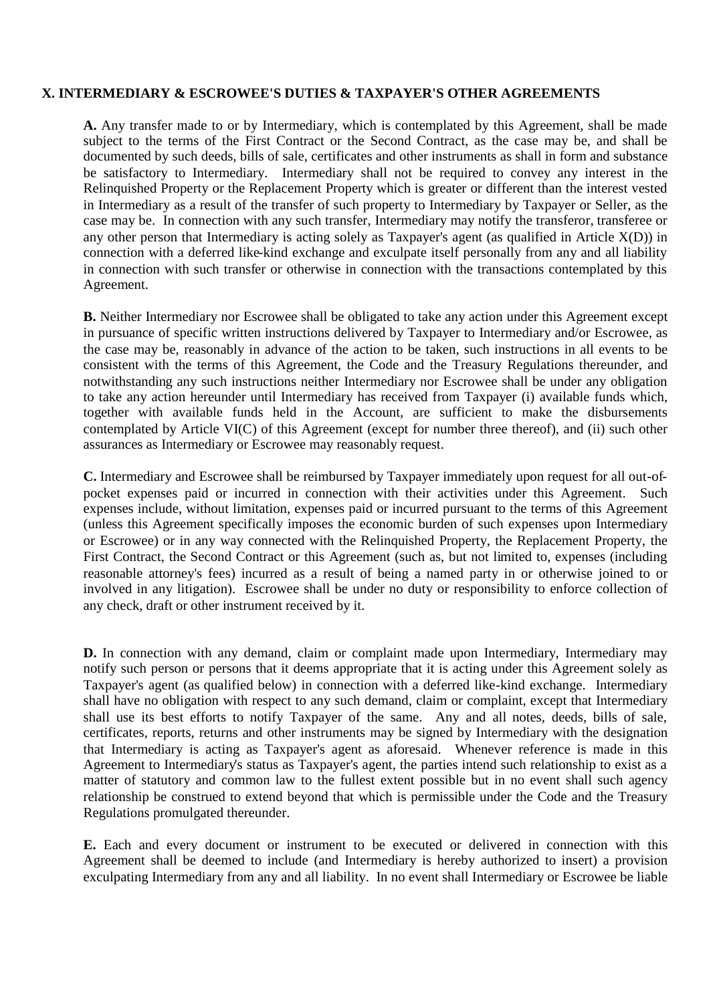## **X. INTERMEDIARY & ESCROWEE'S DUTIES & TAXPAYER'S OTHER AGREEMENTS**

**A.** Any transfer made to or by Intermediary, which is contemplated by this Agreement, shall be made subject to the terms of the First Contract or the Second Contract, as the case may be, and shall be documented by such deeds, bills of sale, certificates and other instruments as shall in form and substance be satisfactory to Intermediary. Intermediary shall not be required to convey any interest in the Relinquished Property or the Replacement Property which is greater or different than the interest vested in Intermediary as a result of the transfer of such property to Intermediary by Taxpayer or Seller, as the case may be. In connection with any such transfer, Intermediary may notify the transferor, transferee or any other person that Intermediary is acting solely as Taxpayer's agent (as qualified in Article X(D)) in connection with a deferred like-kind exchange and exculpate itself personally from any and all liability in connection with such transfer or otherwise in connection with the transactions contemplated by this Agreement.

**B.** Neither Intermediary nor Escrowee shall be obligated to take any action under this Agreement except in pursuance of specific written instructions delivered by Taxpayer to Intermediary and/or Escrowee, as the case may be, reasonably in advance of the action to be taken, such instructions in all events to be consistent with the terms of this Agreement, the Code and the Treasury Regulations thereunder, and notwithstanding any such instructions neither Intermediary nor Escrowee shall be under any obligation to take any action hereunder until Intermediary has received from Taxpayer (i) available funds which, together with available funds held in the Account, are sufficient to make the disbursements contemplated by Article VI(C) of this Agreement (except for number three thereof), and (ii) such other assurances as Intermediary or Escrowee may reasonably request.

**C.** Intermediary and Escrowee shall be reimbursed by Taxpayer immediately upon request for all out-ofpocket expenses paid or incurred in connection with their activities under this Agreement. Such expenses include, without limitation, expenses paid or incurred pursuant to the terms of this Agreement (unless this Agreement specifically imposes the economic burden of such expenses upon Intermediary or Escrowee) or in any way connected with the Relinquished Property, the Replacement Property, the First Contract, the Second Contract or this Agreement (such as, but not limited to, expenses (including reasonable attorney's fees) incurred as a result of being a named party in or otherwise joined to or involved in any litigation). Escrowee shall be under no duty or responsibility to enforce collection of any check, draft or other instrument received by it.

**D.** In connection with any demand, claim or complaint made upon Intermediary, Intermediary may notify such person or persons that it deems appropriate that it is acting under this Agreement solely as Taxpayer's agent (as qualified below) in connection with a deferred like-kind exchange. Intermediary shall have no obligation with respect to any such demand, claim or complaint, except that Intermediary shall use its best efforts to notify Taxpayer of the same. Any and all notes, deeds, bills of sale, certificates, reports, returns and other instruments may be signed by Intermediary with the designation that Intermediary is acting as Taxpayer's agent as aforesaid. Whenever reference is made in this Agreement to Intermediary's status as Taxpayer's agent, the parties intend such relationship to exist as a matter of statutory and common law to the fullest extent possible but in no event shall such agency relationship be construed to extend beyond that which is permissible under the Code and the Treasury Regulations promulgated thereunder.

**E.** Each and every document or instrument to be executed or delivered in connection with this Agreement shall be deemed to include (and Intermediary is hereby authorized to insert) a provision exculpating Intermediary from any and all liability. In no event shall Intermediary or Escrowee be liable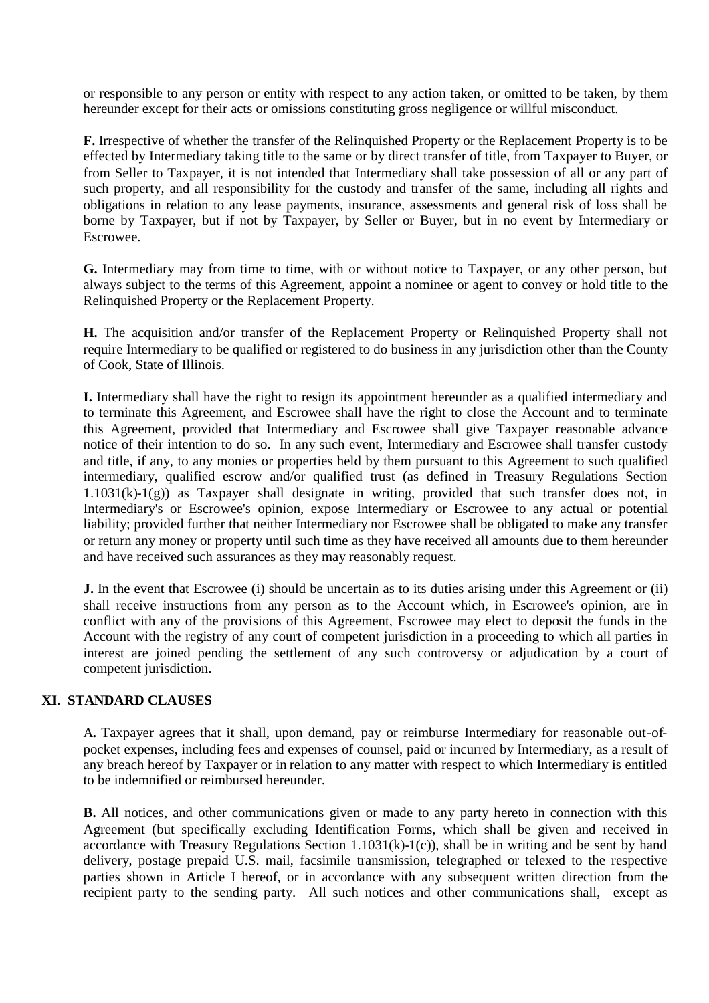or responsible to any person or entity with respect to any action taken, or omitted to be taken, by them hereunder except for their acts or omissions constituting gross negligence or willful misconduct.

**F.** Irrespective of whether the transfer of the Relinquished Property or the Replacement Property is to be effected by Intermediary taking title to the same or by direct transfer of title, from Taxpayer to Buyer, or from Seller to Taxpayer, it is not intended that Intermediary shall take possession of all or any part of such property, and all responsibility for the custody and transfer of the same, including all rights and obligations in relation to any lease payments, insurance, assessments and general risk of loss shall be borne by Taxpayer, but if not by Taxpayer, by Seller or Buyer, but in no event by Intermediary or Escrowee.

**G.** Intermediary may from time to time, with or without notice to Taxpayer, or any other person, but always subject to the terms of this Agreement, appoint a nominee or agent to convey or hold title to the Relinquished Property or the Replacement Property.

**H.** The acquisition and/or transfer of the Replacement Property or Relinquished Property shall not require Intermediary to be qualified or registered to do business in any jurisdiction other than the County of Cook, State of Illinois.

**I.** Intermediary shall have the right to resign its appointment hereunder as a qualified intermediary and to terminate this Agreement, and Escrowee shall have the right to close the Account and to terminate this Agreement, provided that Intermediary and Escrowee shall give Taxpayer reasonable advance notice of their intention to do so. In any such event, Intermediary and Escrowee shall transfer custody and title, if any, to any monies or properties held by them pursuant to this Agreement to such qualified intermediary, qualified escrow and/or qualified trust (as defined in Treasury Regulations Section 1.1031(k)-1(g)) as Taxpayer shall designate in writing, provided that such transfer does not, in Intermediary's or Escrowee's opinion, expose Intermediary or Escrowee to any actual or potential liability; provided further that neither Intermediary nor Escrowee shall be obligated to make any transfer or return any money or property until such time as they have received all amounts due to them hereunder and have received such assurances as they may reasonably request.

**J.** In the event that Escrowee (i) should be uncertain as to its duties arising under this Agreement or (ii) shall receive instructions from any person as to the Account which, in Escrowee's opinion, are in conflict with any of the provisions of this Agreement, Escrowee may elect to deposit the funds in the Account with the registry of any court of competent jurisdiction in a proceeding to which all parties in interest are joined pending the settlement of any such controversy or adjudication by a court of competent jurisdiction.

## **XI. STANDARD CLAUSES**

A**.** Taxpayer agrees that it shall, upon demand, pay or reimburse Intermediary for reasonable out-ofpocket expenses, including fees and expenses of counsel, paid or incurred by Intermediary, as a result of any breach hereof by Taxpayer or in relation to any matter with respect to which Intermediary is entitled to be indemnified or reimbursed hereunder.

**B.** All notices, and other communications given or made to any party hereto in connection with this Agreement (but specifically excluding Identification Forms, which shall be given and received in accordance with Treasury Regulations Section 1.1031(k)-1(c)), shall be in writing and be sent by hand delivery, postage prepaid U.S. mail, facsimile transmission, telegraphed or telexed to the respective parties shown in Article I hereof, or in accordance with any subsequent written direction from the recipient party to the sending party. All such notices and other communications shall, except as